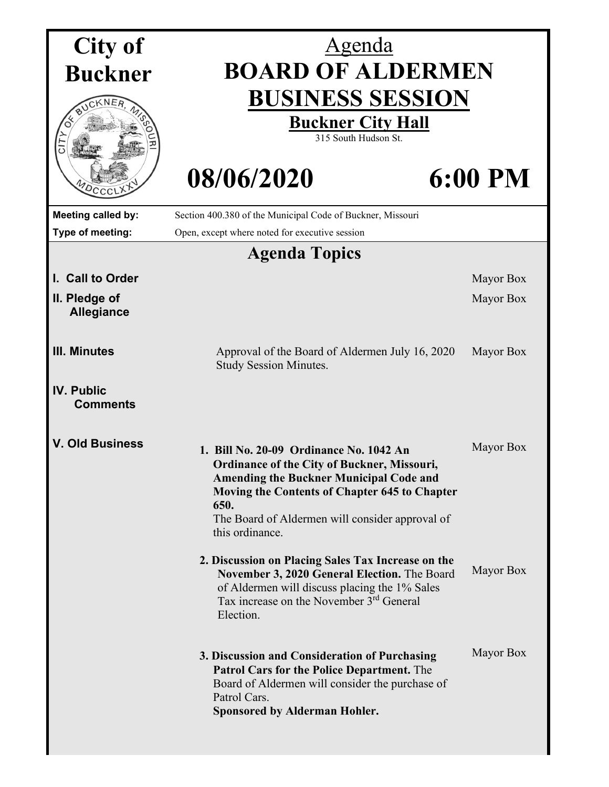| City of                              | <u>Agenda</u>                                                                                                                                                                                                                                                                  |                |  |
|--------------------------------------|--------------------------------------------------------------------------------------------------------------------------------------------------------------------------------------------------------------------------------------------------------------------------------|----------------|--|
| <b>Buckner</b>                       | <b>BOARD OF ALDERMEN</b>                                                                                                                                                                                                                                                       |                |  |
|                                      | <b>BUSINESS SESSION</b><br><b>Buckner City Hall</b><br>315 South Hudson St.                                                                                                                                                                                                    |                |  |
| <b>UDCCC</b>                         | 08/06/2020                                                                                                                                                                                                                                                                     | <b>6:00 PM</b> |  |
| Meeting called by:                   | Section 400.380 of the Municipal Code of Buckner, Missouri                                                                                                                                                                                                                     |                |  |
| Type of meeting:                     | Open, except where noted for executive session                                                                                                                                                                                                                                 |                |  |
|                                      | <b>Agenda Topics</b>                                                                                                                                                                                                                                                           |                |  |
| I. Call to Order                     |                                                                                                                                                                                                                                                                                | Mayor Box      |  |
| II. Pledge of<br><b>Allegiance</b>   |                                                                                                                                                                                                                                                                                | Mayor Box      |  |
| <b>III. Minutes</b>                  | Approval of the Board of Aldermen July 16, 2020<br><b>Study Session Minutes.</b>                                                                                                                                                                                               | Mayor Box      |  |
| <b>IV. Public</b><br><b>Comments</b> |                                                                                                                                                                                                                                                                                |                |  |
| <b>V. Old Business</b>               | 1. Bill No. 20-09 Ordinance No. 1042 An<br><b>Ordinance of the City of Buckner, Missouri,</b><br><b>Amending the Buckner Municipal Code and</b><br>Moving the Contents of Chapter 645 to Chapter<br>650.<br>The Board of Aldermen will consider approval of<br>this ordinance. | Mayor Box      |  |
|                                      | 2. Discussion on Placing Sales Tax Increase on the<br>November 3, 2020 General Election. The Board<br>of Aldermen will discuss placing the 1% Sales<br>Tax increase on the November 3 <sup>rd</sup> General<br>Election.                                                       | Mayor Box      |  |
|                                      | 3. Discussion and Consideration of Purchasing<br><b>Patrol Cars for the Police Department.</b> The<br>Board of Aldermen will consider the purchase of<br>Patrol Cars.<br><b>Sponsored by Alderman Hohler.</b>                                                                  | Mayor Box      |  |